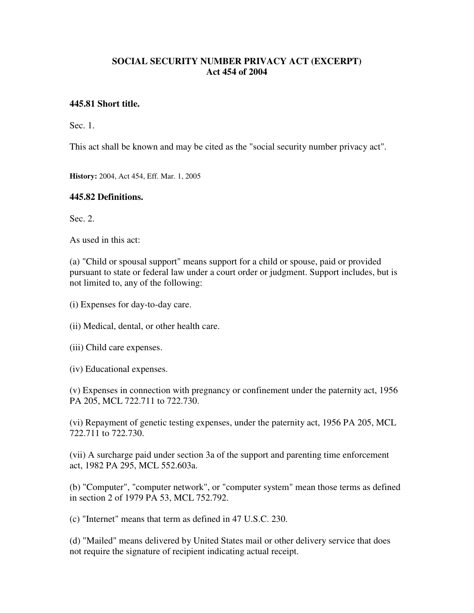## **SOCIAL SECURITY NUMBER PRIVACY ACT (EXCERPT) Act 454 of 2004**

### **445.81 Short title.**

Sec. 1.

This act shall be known and may be cited as the "social security number privacy act".

**History:** 2004, Act 454, Eff. Mar. 1, 2005

#### **445.82 Definitions.**

Sec. 2.

As used in this act:

(a) "Child or spousal support" means support for a child or spouse, paid or provided pursuant to state or federal law under a court order or judgment. Support includes, but is not limited to, any of the following:

- (i) Expenses for day-to-day care.
- (ii) Medical, dental, or other health care.
- (iii) Child care expenses.
- (iv) Educational expenses.

(v) Expenses in connection with pregnancy or confinement under the paternity act, 1956 PA 205, MCL 722.711 to 722.730.

(vi) Repayment of genetic testing expenses, under the paternity act, 1956 PA 205, MCL 722.711 to 722.730.

(vii) A surcharge paid under section 3a of the support and parenting time enforcement act, 1982 PA 295, MCL 552.603a.

(b) "Computer", "computer network", or "computer system" mean those terms as defined in section 2 of 1979 PA 53, MCL 752.792.

(c) "Internet" means that term as defined in 47 U.S.C. 230.

(d) "Mailed" means delivered by United States mail or other delivery service that does not require the signature of recipient indicating actual receipt.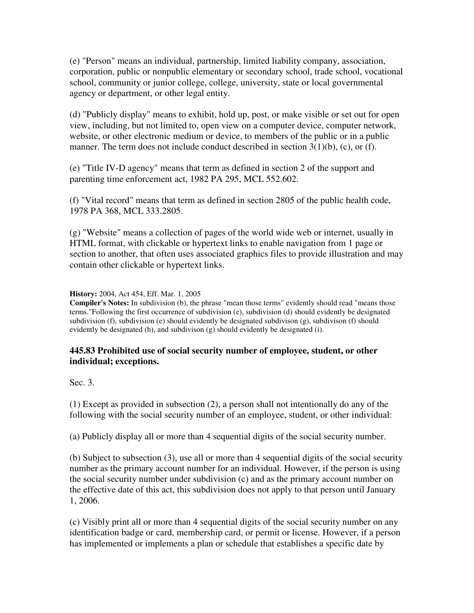(e) "Person" means an individual, partnership, limited liability company, association, corporation, public or nonpublic elementary or secondary school, trade school, vocational school, community or junior college, college, university, state or local governmental agency or department, or other legal entity.

(d) "Publicly display" means to exhibit, hold up, post, or make visible or set out for open view, including, but not limited to, open view on a computer device, computer network, website, or other electronic medium or device, to members of the public or in a public manner. The term does not include conduct described in section 3(1)(b), (c), or (f).

(e) "Title IV-D agency" means that term as defined in section 2 of the support and parenting time enforcement act, 1982 PA 295, MCL 552.602.

(f) "Vital record" means that term as defined in section 2805 of the public health code, 1978 PA 368, MCL 333.2805.

(g) "Website" means a collection of pages of the world wide web or internet, usually in HTML format, with clickable or hypertext links to enable navigation from 1 page or section to another, that often uses associated graphics files to provide illustration and may contain other clickable or hypertext links.

#### **History:** 2004, Act 454, Eff. Mar. 1, 2005

**Compiler's Notes:** In subdivision (b), the phrase "mean those terms" evidently should read "means those terms."Following the first occurrence of subdivision (e), subdivision (d) should evidently be designated subdivision (f), subdivision (e) should evidently be designated subdivison  $(g)$ , subdivison (f) should evidently be designated (h), and subdivison (g) should evidently be designated (i).

## **445.83 Prohibited use of social security number of employee, student, or other individual; exceptions.**

Sec. 3.

(1) Except as provided in subsection (2), a person shall not intentionally do any of the following with the social security number of an employee, student, or other individual:

(a) Publicly display all or more than 4 sequential digits of the social security number.

(b) Subject to subsection (3), use all or more than 4 sequential digits of the social security number as the primary account number for an individual. However, if the person is using the social security number under subdivision (c) and as the primary account number on the effective date of this act, this subdivision does not apply to that person until January 1, 2006.

(c) Visibly print all or more than 4 sequential digits of the social security number on any identification badge or card, membership card, or permit or license. However, if a person has implemented or implements a plan or schedule that establishes a specific date by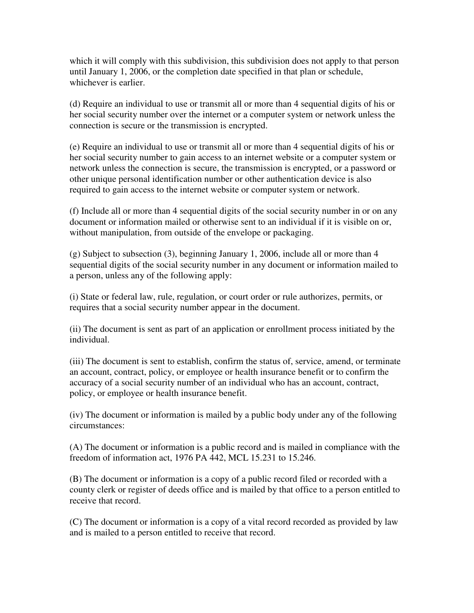which it will comply with this subdivision, this subdivision does not apply to that person until January 1, 2006, or the completion date specified in that plan or schedule, whichever is earlier.

(d) Require an individual to use or transmit all or more than 4 sequential digits of his or her social security number over the internet or a computer system or network unless the connection is secure or the transmission is encrypted.

(e) Require an individual to use or transmit all or more than 4 sequential digits of his or her social security number to gain access to an internet website or a computer system or network unless the connection is secure, the transmission is encrypted, or a password or other unique personal identification number or other authentication device is also required to gain access to the internet website or computer system or network.

(f) Include all or more than 4 sequential digits of the social security number in or on any document or information mailed or otherwise sent to an individual if it is visible on or, without manipulation, from outside of the envelope or packaging.

(g) Subject to subsection (3), beginning January 1, 2006, include all or more than 4 sequential digits of the social security number in any document or information mailed to a person, unless any of the following apply:

(i) State or federal law, rule, regulation, or court order or rule authorizes, permits, or requires that a social security number appear in the document.

(ii) The document is sent as part of an application or enrollment process initiated by the individual.

(iii) The document is sent to establish, confirm the status of, service, amend, or terminate an account, contract, policy, or employee or health insurance benefit or to confirm the accuracy of a social security number of an individual who has an account, contract, policy, or employee or health insurance benefit.

(iv) The document or information is mailed by a public body under any of the following circumstances:

(A) The document or information is a public record and is mailed in compliance with the freedom of information act, 1976 PA 442, MCL 15.231 to 15.246.

(B) The document or information is a copy of a public record filed or recorded with a county clerk or register of deeds office and is mailed by that office to a person entitled to receive that record.

(C) The document or information is a copy of a vital record recorded as provided by law and is mailed to a person entitled to receive that record.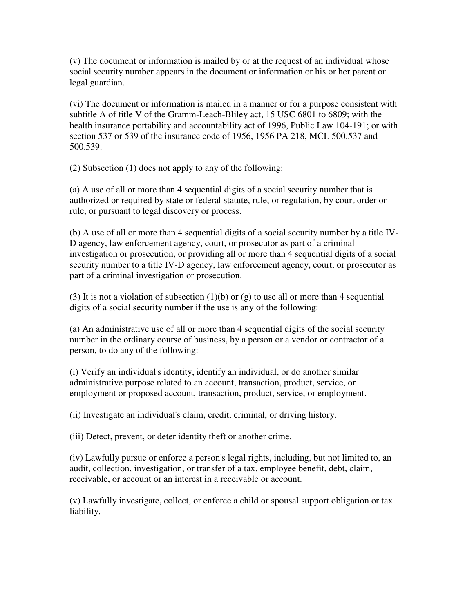(v) The document or information is mailed by or at the request of an individual whose social security number appears in the document or information or his or her parent or legal guardian.

(vi) The document or information is mailed in a manner or for a purpose consistent with subtitle A of title V of the Gramm-Leach-Bliley act, 15 USC 6801 to 6809; with the health insurance portability and accountability act of 1996, Public Law 104-191; or with section 537 or 539 of the insurance code of 1956, 1956 PA 218, MCL 500.537 and 500.539.

(2) Subsection (1) does not apply to any of the following:

(a) A use of all or more than 4 sequential digits of a social security number that is authorized or required by state or federal statute, rule, or regulation, by court order or rule, or pursuant to legal discovery or process.

(b) A use of all or more than 4 sequential digits of a social security number by a title IV-D agency, law enforcement agency, court, or prosecutor as part of a criminal investigation or prosecution, or providing all or more than 4 sequential digits of a social security number to a title IV-D agency, law enforcement agency, court, or prosecutor as part of a criminal investigation or prosecution.

(3) It is not a violation of subsection (1)(b) or (g) to use all or more than 4 sequential digits of a social security number if the use is any of the following:

(a) An administrative use of all or more than 4 sequential digits of the social security number in the ordinary course of business, by a person or a vendor or contractor of a person, to do any of the following:

(i) Verify an individual's identity, identify an individual, or do another similar administrative purpose related to an account, transaction, product, service, or employment or proposed account, transaction, product, service, or employment.

(ii) Investigate an individual's claim, credit, criminal, or driving history.

(iii) Detect, prevent, or deter identity theft or another crime.

(iv) Lawfully pursue or enforce a person's legal rights, including, but not limited to, an audit, collection, investigation, or transfer of a tax, employee benefit, debt, claim, receivable, or account or an interest in a receivable or account.

(v) Lawfully investigate, collect, or enforce a child or spousal support obligation or tax liability.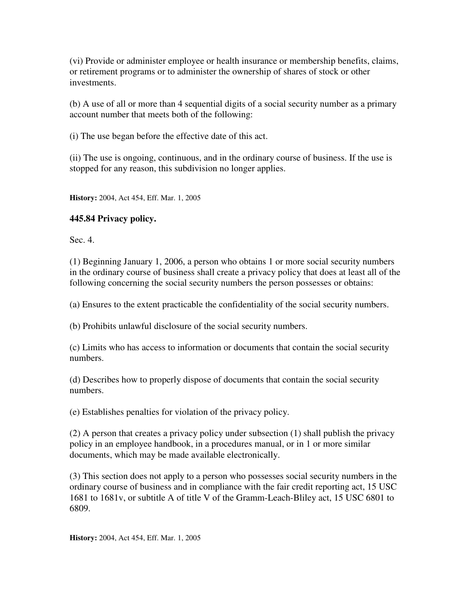(vi) Provide or administer employee or health insurance or membership benefits, claims, or retirement programs or to administer the ownership of shares of stock or other investments.

(b) A use of all or more than 4 sequential digits of a social security number as a primary account number that meets both of the following:

(i) The use began before the effective date of this act.

(ii) The use is ongoing, continuous, and in the ordinary course of business. If the use is stopped for any reason, this subdivision no longer applies.

**History:** 2004, Act 454, Eff. Mar. 1, 2005

# **445.84 Privacy policy.**

Sec. 4.

(1) Beginning January 1, 2006, a person who obtains 1 or more social security numbers in the ordinary course of business shall create a privacy policy that does at least all of the following concerning the social security numbers the person possesses or obtains:

(a) Ensures to the extent practicable the confidentiality of the social security numbers.

(b) Prohibits unlawful disclosure of the social security numbers.

(c) Limits who has access to information or documents that contain the social security numbers.

(d) Describes how to properly dispose of documents that contain the social security numbers.

(e) Establishes penalties for violation of the privacy policy.

(2) A person that creates a privacy policy under subsection (1) shall publish the privacy policy in an employee handbook, in a procedures manual, or in 1 or more similar documents, which may be made available electronically.

(3) This section does not apply to a person who possesses social security numbers in the ordinary course of business and in compliance with the fair credit reporting act, 15 USC 1681 to 1681v, or subtitle A of title V of the Gramm-Leach-Bliley act, 15 USC 6801 to 6809.